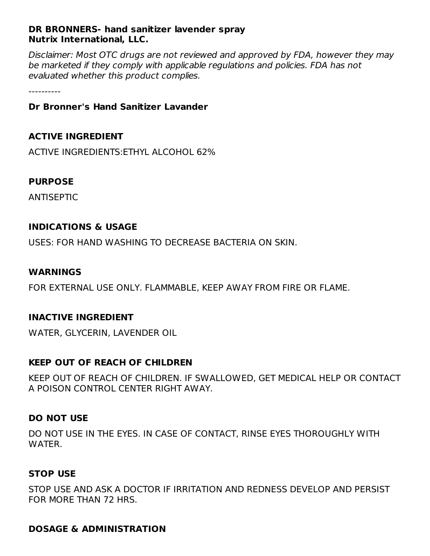# **DR BRONNERS- hand sanitizer lavender spray Nutrix International, LLC.**

Disclaimer: Most OTC drugs are not reviewed and approved by FDA, however they may be marketed if they comply with applicable regulations and policies. FDA has not evaluated whether this product complies.

----------

## **Dr Bronner's Hand Sanitizer Lavander**

# **ACTIVE INGREDIENT**

ACTIVE INGREDIENTS:ETHYL ALCOHOL 62%

# **PURPOSE**

ANTISEPTIC

# **INDICATIONS & USAGE**

USES: FOR HAND WASHING TO DECREASE BACTERIA ON SKIN.

#### **WARNINGS**

FOR EXTERNAL USE ONLY. FLAMMABLE, KEEP AWAY FROM FIRE OR FLAME.

#### **INACTIVE INGREDIENT**

WATER, GLYCERIN, LAVENDER OIL

#### **KEEP OUT OF REACH OF CHILDREN**

KEEP OUT OF REACH OF CHILDREN. IF SWALLOWED, GET MEDICAL HELP OR CONTACT A POISON CONTROL CENTER RIGHT AWAY.

#### **DO NOT USE**

DO NOT USE IN THE EYES. IN CASE OF CONTACT, RINSE EYES THOROUGHLY WITH WATER.

#### **STOP USE**

STOP USE AND ASK A DOCTOR IF IRRITATION AND REDNESS DEVELOP AND PERSIST FOR MORE THAN 72 HRS.

#### **DOSAGE & ADMINISTRATION**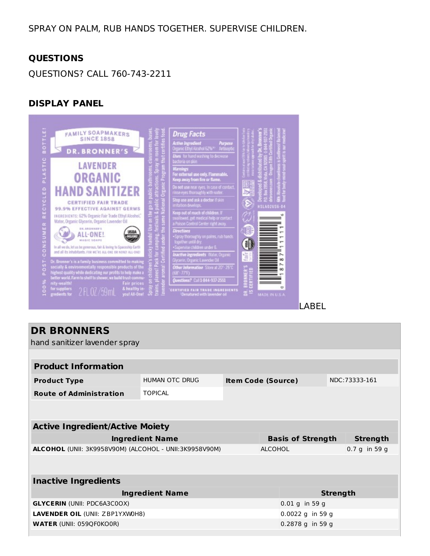# SPRAY ON PALM, RUB HANDS TOGETHER. SUPERVISE CHILDREN.

#### **QUESTIONS**

QUESTIONS? CALL 760-743-2211

#### **DISPLAY PANEL**



# LABEL

| <b>DR BRONNERS</b><br>hand sanitizer lavender spray    |                        |                           |                 |                  |                 |                 |  |  |  |
|--------------------------------------------------------|------------------------|---------------------------|-----------------|------------------|-----------------|-----------------|--|--|--|
|                                                        |                        |                           |                 |                  |                 |                 |  |  |  |
| <b>Product Information</b>                             |                        |                           |                 |                  |                 |                 |  |  |  |
| <b>Product Type</b>                                    | HUMAN OTC DRUG         | <b>Item Code (Source)</b> |                 |                  |                 | NDC:73333-161   |  |  |  |
| <b>Route of Administration</b>                         | <b>TOPICAL</b>         |                           |                 |                  |                 |                 |  |  |  |
|                                                        |                        |                           |                 |                  |                 |                 |  |  |  |
| <b>Active Ingredient/Active Moiety</b>                 |                        |                           |                 |                  |                 |                 |  |  |  |
|                                                        | <b>Ingredient Name</b> | <b>Basis of Strength</b>  |                 |                  |                 | <b>Strength</b> |  |  |  |
| ALCOHOL (UNII: 3K9958V90M) (ALCOHOL - UNII:3K9958V90M) | <b>ALCOHOL</b>         |                           |                 |                  | $0.7 g$ in 59 g |                 |  |  |  |
|                                                        |                        |                           |                 |                  |                 |                 |  |  |  |
| <b>Inactive Ingredients</b>                            |                        |                           |                 |                  |                 |                 |  |  |  |
| <b>Ingredient Name</b>                                 |                        |                           | <b>Strength</b> |                  |                 |                 |  |  |  |
| <b>GLYCERIN (UNII: PDC6A3C0OX)</b>                     |                        |                           | 0.01 g in 59 g  |                  |                 |                 |  |  |  |
| LAVENDER OIL (UNII: ZBP1YXW0H8)                        |                        |                           |                 | 0.0022 g in 59 g |                 |                 |  |  |  |
| <b>WATER (UNII: 059QF0KO0R)</b>                        |                        |                           |                 | 0.2878 g in 59 g |                 |                 |  |  |  |
|                                                        |                        |                           |                 |                  |                 |                 |  |  |  |